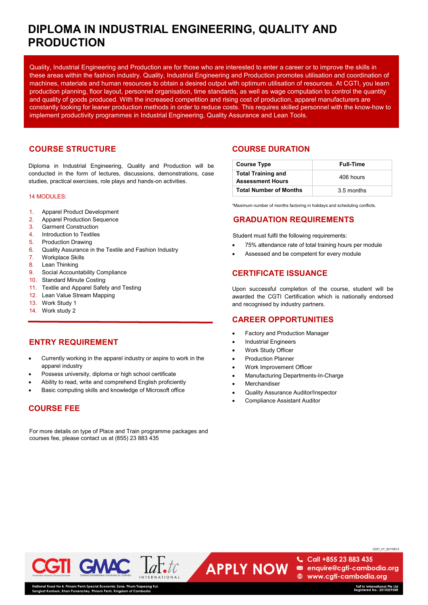# **DIPLOMA IN INDUSTRIAL ENGINEERING, QUALITY AND PRODUCTION**

Quality, Industrial Engineering and Production are for those who are interested to enter a career or to improve the skills in these areas within the fashion industry. Quality, Industrial Engineering and Production promotes utilisation and coordination of machines, materials and human resources to obtain a desired output with optimum utilisation of resources. At CGTI, you learn production planning, floor layout, personnel organisation, time standards, as well as wage computation to control the quantity and quality of goods produced. With the increased competition and rising cost of production, apparel manufacturers are constantly looking for leaner production methods in order to reduce costs. This requires skilled personnel with the know-how to implement productivity programmes in Industrial Engineering, Quality Assurance and Lean Tools.

# **COURSE STRUCTURE**

Diploma in Industrial Engineering, Quality and Production will be conducted in the form of lectures, discussions, demonstrations, case studies, practical exercises, role plays and hands-on activities.

#### 14 MODULES:

- 1. Apparel Product Development
- 2. Apparel Production Sequence
- 3. Garment Construction
- 4. Introduction to Textiles
- 5. Production Drawing
- 6. Quality Assurance in the Textile and Fashion Industry
- 7. Workplace Skills
- 8. Lean Thinking
- 9. Social Accountability Compliance
- 10. Standard Minute Costing
- 11. Textile and Apparel Safety and Testing
- 12. Lean Value Stream Mapping
- 13. Work Study 1
- 14. Work study 2

## **ENTRY REQUIREMENT**

- Currently working in the apparel industry or aspire to work in the apparel industry
- Possess university, diploma or high school certificate
- Ability to read, write and comprehend English proficiently
- Basic computing skills and knowledge of Microsoft office

### **COURSE FEE**

For more details on type of Place and Train programme packages and courses fee, please contact us at (855) 23 883 435

# **COURSE DURATION**

| <b>Course Type</b>                                   | <b>Full-Time</b> |
|------------------------------------------------------|------------------|
| <b>Total Training and</b><br><b>Assessment Hours</b> | 406 hours        |
| <b>Total Number of Months</b>                        | 3.5 months       |

\*Maximum number of months factoring in holidays and scheduling conflicts.

# **GRADUATION REQUIREMENTS**

Student must fulfil the following requirements:

- 75% attendance rate of total training hours per module
- Assessed and be competent for every module

### **CERTIFICATE ISSUANCE**

Upon successful completion of the course, student will be awarded the CGTI Certification which is nationally endorsed and recognised by industry partners.

### **CAREER OPPORTUNITIES**

- Factory and Production Manager
- Industrial Engineers
- Work Study Officer
- **Production Planner**
- Work Improvement Officer
- Manufacturing Departments-In-Charge
- **Merchandiser**

**APPLY NOW** 

- Quality Assurance Auditor/Inspector
- Compliance Assistant Auditor



4, rnnom renn special Economic Zor<br>Khan Porsenchey, Phnom Penh, Kingı

CGTI\_V7\_20170613

Call +855 23 883 435 enquire@cgti-cambodia.org **A** www.cgti-cambodia.org